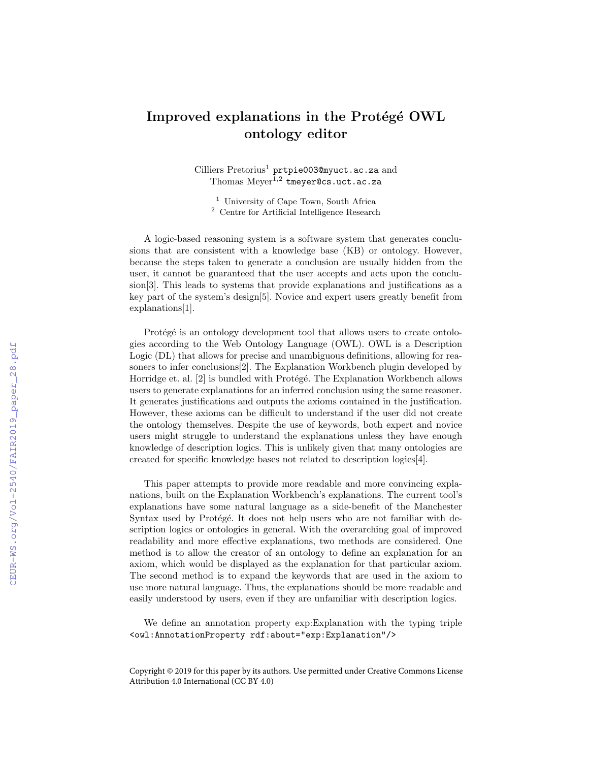## Improved explanations in the Protégé OWL ontology editor

 $\operatorname{Cilliers}\ \operatorname{Pretorius}^1\ \text{prtpie003@myuct.ac.za}$  and Thomas Meyer<sup>1,2</sup> tmeyer@cs.uct.ac.za

<sup>1</sup> University of Cape Town, South Africa <sup>2</sup> Centre for Artificial Intelligence Research

A logic-based reasoning system is a software system that generates conclusions that are consistent with a knowledge base (KB) or ontology. However, because the steps taken to generate a conclusion are usually hidden from the user, it cannot be guaranteed that the user accepts and acts upon the conclusion[3]. This leads to systems that provide explanations and justifications as a key part of the system's design[5]. Novice and expert users greatly benefit from explanations[1].

Protégé is an ontology development tool that allows users to create ontologies according to the Web Ontology Language (OWL). OWL is a Description Logic (DL) that allows for precise and unambiguous definitions, allowing for reasoners to infer conclusions[2]. The Explanation Workbench plugin developed by Horridge et. al.  $[2]$  is bundled with Protégé. The Explanation Workbench allows users to generate explanations for an inferred conclusion using the same reasoner. It generates justifications and outputs the axioms contained in the justification. However, these axioms can be difficult to understand if the user did not create the ontology themselves. Despite the use of keywords, both expert and novice users might struggle to understand the explanations unless they have enough knowledge of description logics. This is unlikely given that many ontologies are created for specific knowledge bases not related to description logics[4].

This paper attempts to provide more readable and more convincing explanations, built on the Explanation Workbench's explanations. The current tool's explanations have some natural language as a side-benefit of the Manchester Syntax used by Protégé. It does not help users who are not familiar with description logics or ontologies in general. With the overarching goal of improved readability and more effective explanations, two methods are considered. One method is to allow the creator of an ontology to define an explanation for an axiom, which would be displayed as the explanation for that particular axiom. The second method is to expand the keywords that are used in the axiom to use more natural language. Thus, the explanations should be more readable and easily understood by users, even if they are unfamiliar with description logics.

We define an annotation property exp:Explanation with the typing triple <owl:AnnotationProperty rdf:about="exp:Explanation"/>

Copyright © 2019 for this paper by its authors. Use permitted under Creative Commons License Attribution 4.0 International (CC BY 4.0)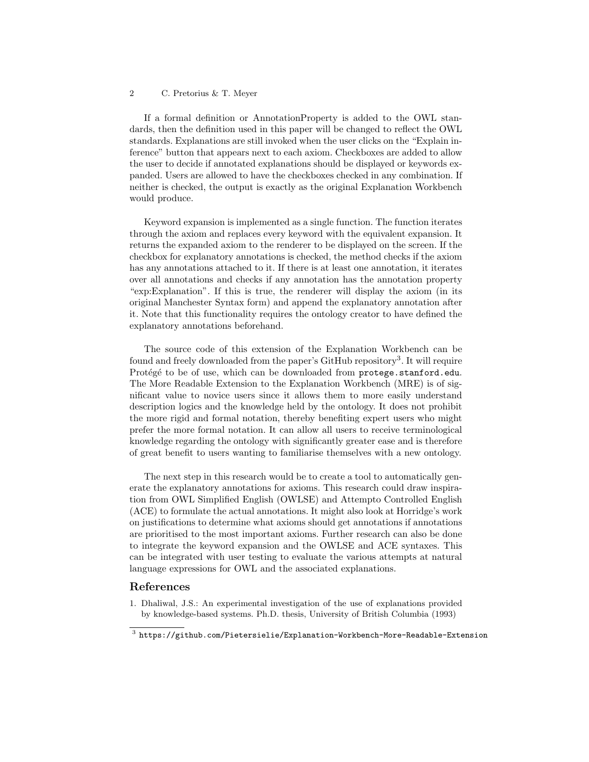## 2 C. Pretorius & T. Meyer

If a formal definition or AnnotationProperty is added to the OWL standards, then the definition used in this paper will be changed to reflect the OWL standards. Explanations are still invoked when the user clicks on the "Explain inference" button that appears next to each axiom. Checkboxes are added to allow the user to decide if annotated explanations should be displayed or keywords expanded. Users are allowed to have the checkboxes checked in any combination. If neither is checked, the output is exactly as the original Explanation Workbench would produce.

Keyword expansion is implemented as a single function. The function iterates through the axiom and replaces every keyword with the equivalent expansion. It returns the expanded axiom to the renderer to be displayed on the screen. If the checkbox for explanatory annotations is checked, the method checks if the axiom has any annotations attached to it. If there is at least one annotation, it iterates over all annotations and checks if any annotation has the annotation property "exp:Explanation". If this is true, the renderer will display the axiom (in its original Manchester Syntax form) and append the explanatory annotation after it. Note that this functionality requires the ontology creator to have defined the explanatory annotations beforehand.

The source code of this extension of the Explanation Workbench can be found and freely downloaded from the paper's GitHub repository<sup>3</sup>. It will require Protégé to be of use, which can be downloaded from protege.stanford.edu. The More Readable Extension to the Explanation Workbench (MRE) is of significant value to novice users since it allows them to more easily understand description logics and the knowledge held by the ontology. It does not prohibit the more rigid and formal notation, thereby benefiting expert users who might prefer the more formal notation. It can allow all users to receive terminological knowledge regarding the ontology with significantly greater ease and is therefore of great benefit to users wanting to familiarise themselves with a new ontology.

The next step in this research would be to create a tool to automatically generate the explanatory annotations for axioms. This research could draw inspiration from OWL Simplified English (OWLSE) and Attempto Controlled English (ACE) to formulate the actual annotations. It might also look at Horridge's work on justifications to determine what axioms should get annotations if annotations are prioritised to the most important axioms. Further research can also be done to integrate the keyword expansion and the OWLSE and ACE syntaxes. This can be integrated with user testing to evaluate the various attempts at natural language expressions for OWL and the associated explanations.

## References

1. Dhaliwal, J.S.: An experimental investigation of the use of explanations provided by knowledge-based systems. Ph.D. thesis, University of British Columbia (1993)

 $^3$  https://github.com/Pietersielie/Explanation-Workbench-More-Readable-Extension